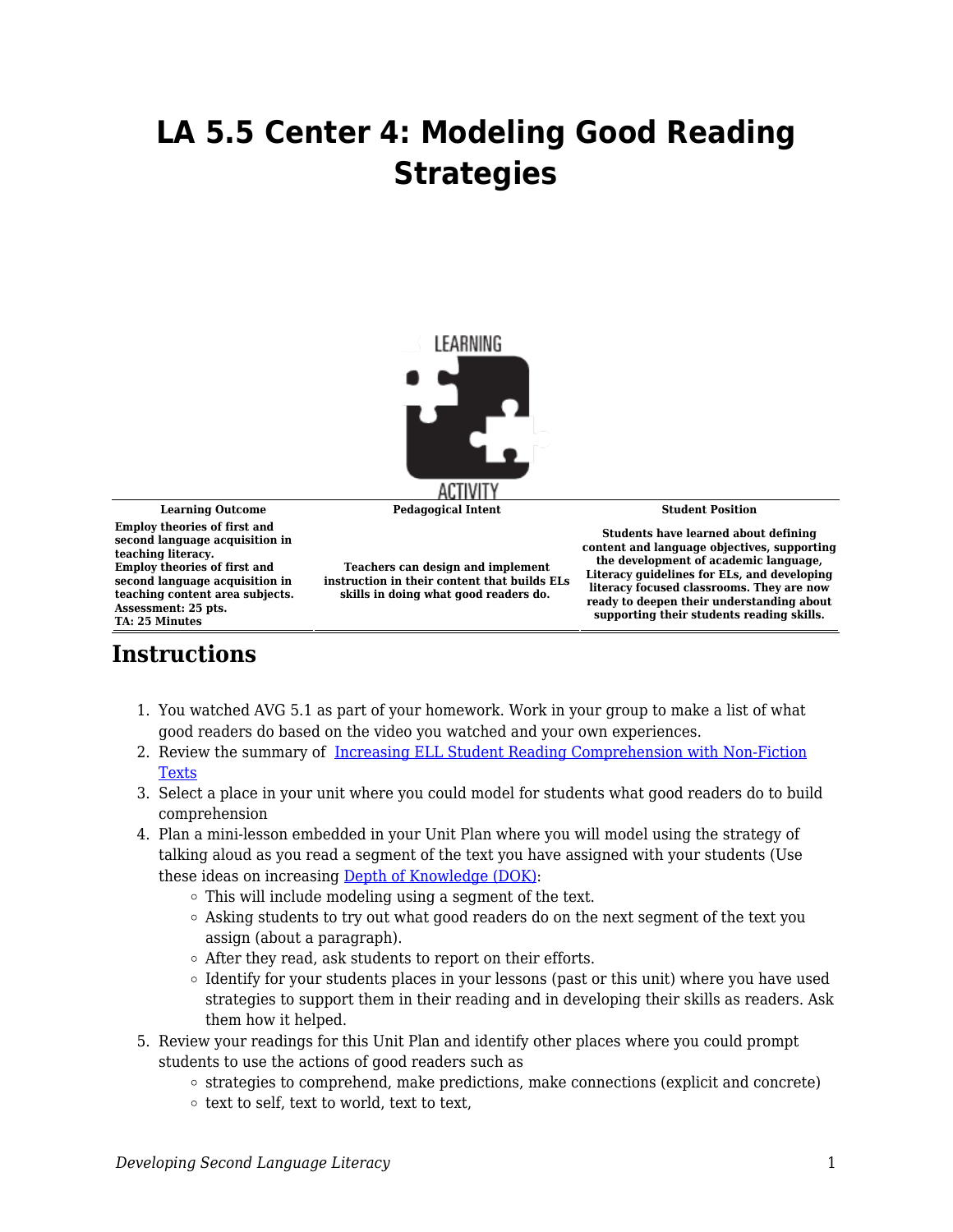## **LA 5.5 Center 4: Modeling Good Reading Strategies**



**Learning Outcome Pedagogical Intent Student Position**

**Employ theories of first and second language acquisition in teaching literacy. Employ theories of first and second language acquisition in teaching content area subjects. Assessment: 25 pts. TA: 25 Minutes**

**Teachers can design and implement instruction in their content that builds ELs skills in doing what good readers do.** 

**Students have learned about defining content and language objectives, supporting the development of academic language, Literacy guidelines for ELs, and developing literacy focused classrooms. They are now ready to deepen their understanding about supporting their students reading skills.**

## **Instructions**

- 1. You watched AVG 5.1 as part of your homework. Work in your group to make a list of what good readers do based on the video you watched and your own experiences.
- 2. Review the summary of [Increasing ELL Student Reading Comprehension with Non-Fiction](https://byu.box.com/s/1o0401dlb228wnfvi3gje97fwvshuykw) [Texts](https://byu.box.com/s/1o0401dlb228wnfvi3gje97fwvshuykw)
- 3. Select a place in your unit where you could model for students what good readers do to build comprehension
- 4. Plan a mini-lesson embedded in your Unit Plan where you will model using the strategy of talking aloud as you read a segment of the text you have assigned with your students (Use these ideas on increasing [Depth of Knowledge \(DOK\)](https://byu.box.com/s/ne7jct36xc3pry88d7iocvt1ol1ok7h7):
	- This will include modeling using a segment of the text.
	- $\circ$  Asking students to try out what good readers do on the next segment of the text you assign (about a paragraph).
	- After they read, ask students to report on their efforts.
	- $\circ$  Identify for your students places in your lessons (past or this unit) where you have used strategies to support them in their reading and in developing their skills as readers. Ask them how it helped.
- 5. Review your readings for this Unit Plan and identify other places where you could prompt students to use the actions of good readers such as
	- $\circ$  strategies to comprehend, make predictions, make connections (explicit and concrete)
	- $\circ$  text to self, text to world, text to text,